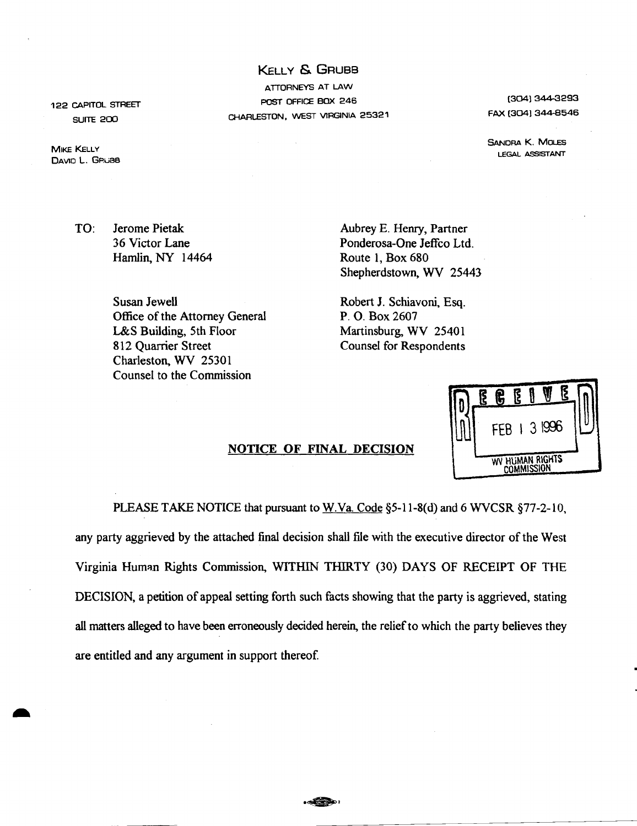KELLY & GRUBB ATTORNEYS AT LAW POST OFFICE BOX 246 CHARLESTON, WEST VIRGINIA 25321

[304J 344-3293 FAX (304) 344-8546

SANORA K. MoLES LEGAL ASSISTANT

DE GEIVE

FFB 1 3  $\,996$ 

WV HUMAN RIGHTS **COMMISSION** 

TO: Jerome Pietak 36 Victor Lane Hamlin, NY 14464

Aubrey E. Henry, Partner Ponderosa-One Jeffco Ltd. Route 1, Box 680 Shepherdstown, WV 25443

Susan Jewell Office of the Attorney General L&S Building, 5th Floor 812 Quarrier Street Charleston, WV 25301 Counsel to the Commission

Robert 1. Schiavoni, Esq. P. O. Box 2607 Martinsburg, WV 25401 Counsel for Respondents

## NOTICE OF FINAL DECISION



122 CAPITOL STREET SUITE 200

**MIKE KELLY** DAVIO L. GRuBe

-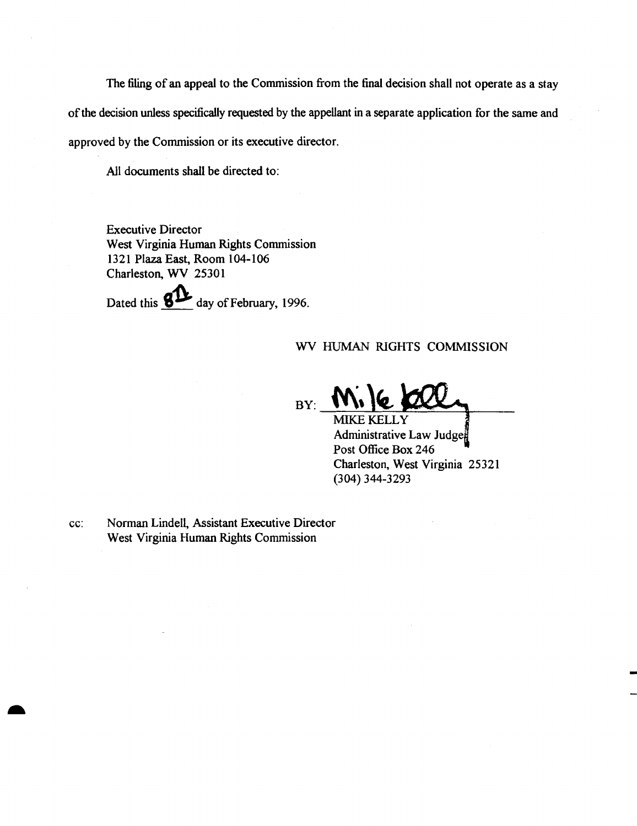The filing of an appeal to the Commission from the final decision shall not operate as a stay of the decision unless specifically requested by the appellant in a separate application for the same and approved by the Commission or its executive director.

All documents shall be directed to:

Executive Director West Virginia Human Rights Commission 1321 Plaza East, Room 104-106 Charleston, WV 25301

Dated this **811** day of February, 1996.

# WV HUMAN RIGHTS COMMISSION

 $BY:$ MIKE KELLY

Administrative Law Judge Post Office Box 246 Charleston, West Virginia 25321 (304) 344-3293

cc: Norman Lindell, Assistant Executive Director West Virginia Human Rights Commission

..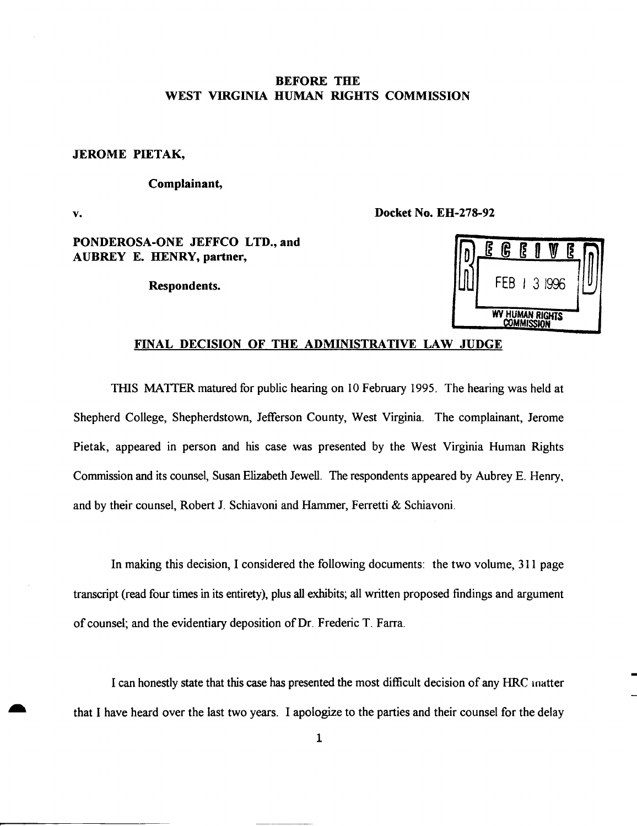# BEFORE THE WEST VIRGINIA HUMAN RIGHTS COMMISSION

### JEROME PIETAK,

# Complainant,

v.

Docket No. EH-278-92

# PONDEROSA-ONE JEFFCO LTD., and AUBREY E. HENRY, partner,

Respondents.

|                 | ξ | ĥ   | E |   |      | Ş |  |
|-----------------|---|-----|---|---|------|---|--|
|                 |   | FEB |   | 3 | 1996 |   |  |
| WV HUMAN RIGHTS |   |     |   |   |      |   |  |

# FINAL DECISION OF THE ADMINISTRATIVE LAW JUDGE

THIS MATIER matured for public hearing on 10 February 1995. The hearing was held at Shepherd College, Shepherdstown, Jefferson County, West Virginia. The complainant, Jerome Pietak, appeared in person and his case was presented by the West Virginia Human Rights Commission and its counsel, Susan Elizabeth Jewell. The respondents appeared by Aubrey E. Henry, and by their counsel, Robert 1. Schiavoni and Hammer, Ferretti & Schiavoni.

In making this decision, I considered the following documents: the two volume, 311 page transcript (read four times in its entirety), plus all exhibits; all written proposed findings and argument of counsel; and the evidentiary deposition of Dr. Frederic T. Farra.

I can honestly state that this case has presented the most difficult decision of any HRC Inatter that I have heard over the last two years. I apologize to the parties and their counsel for the delay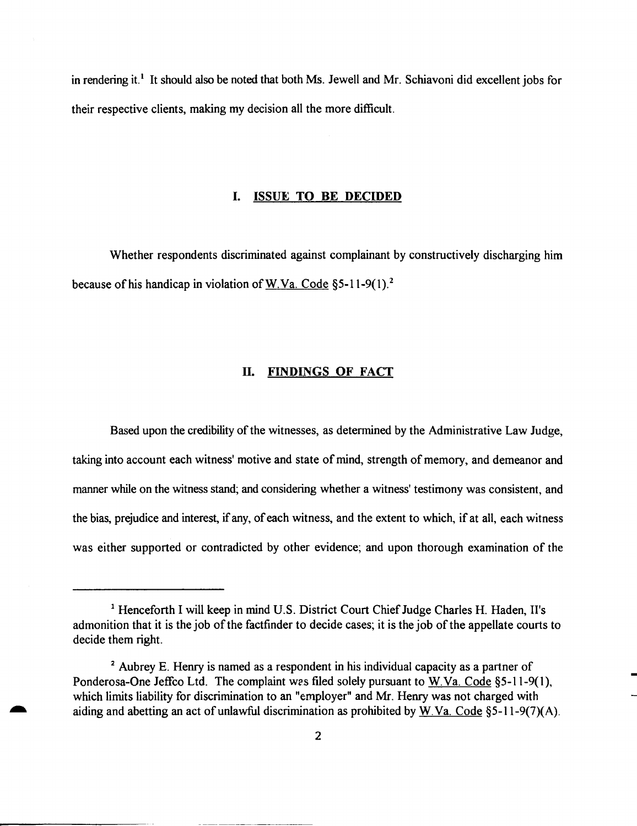in rendering it.<sup>1</sup> It should also be noted that both Ms. Jewell and Mr. Schiavoni did excellent jobs for their respective clients, making my decision all the more difficult.

#### **I. ISSUE TO BE DECIDED**

Whether respondents discriminated against complainant by constructively discharging him because of his handicap in violation of W.Va. Code §5-11-9(1).<sup>2</sup>

### **II. FINDINGS OF FACT**

Based upon the credibility of the witnesses, as determined by the Administrative Law Judge, taking into account each witness' motive and state of mind, strength of memory, and demeanor and manner while on the witness stand; and considering whether a witness' testimony was consistent, and the bias, prejudice and interest, ifany, ofeach witness, and the extent to which, if at all, each witness was either supported or contradicted by other evidence; and upon thorough examination of the

<sup>&</sup>lt;sup>1</sup> Henceforth I will keep in mind U.S. District Court Chief Judge Charles H. Haden, II's admonition that it is the job of the factfinder to decide cases; it is the job of the appellate courts to decide them right.

<sup>2</sup> Aubrey E. Henry is named as a respondent in his individual capacity as a partner of Ponderosa-One Jeffco Ltd. The complaint was filed solely pursuant to W.Va. Code §5-11-9(1), which limits liability for discrimination to an "employer" and Mr. Henry was not charged with aiding and abetting an act of unlawful discrimination as prohibited by W.Va. Code §5-11-9(7)(A).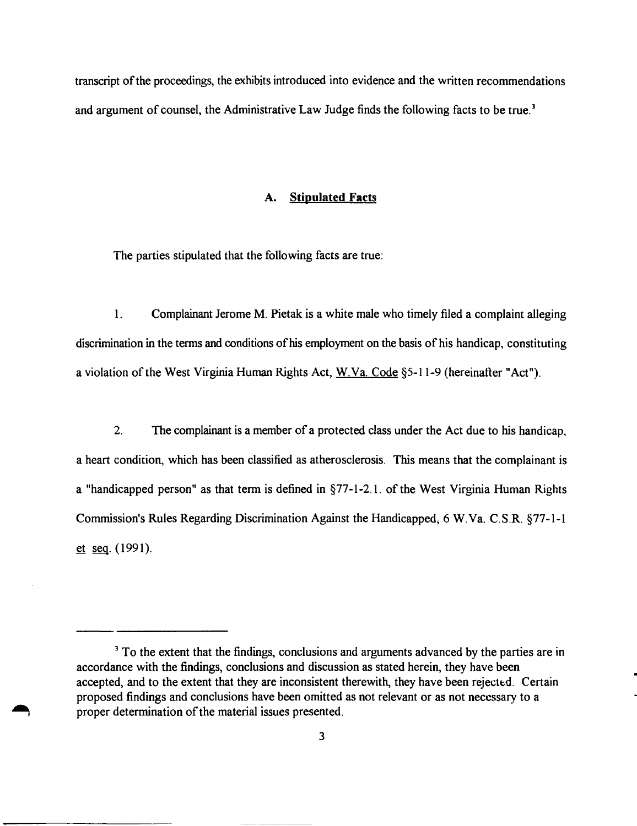transcript of the proceedings, the exhibits introduced into evidence and the written recommendations and argument of counsel, the Administrative Law Judge finds the following facts to be true.<sup>3</sup>

### A. **Stipulated** Facts

The parties stipulated that the following facts are true:

I. Complainant Jerome M. Pietak is a white male who timely filed a complaint alleging discrimination in the terms and conditions of his employment on the basis of his handicap, constituting a violation ofthe West Virginia Human Rights Act, W.Va. Code §5-11-9 (hereinafter "Act").

2. The complainant is a member of a protected class under the Act due to his handicap, a heart condition, which has been classified as atherosclerosis. This means that the complainant is a "handicapped person" as that term is defined in  $\S$ 77-1-2.1. of the West Virginia Human Rights Commission's Rules Regarding Discrimination Against the Handicapped; 6 W.Va. C.S.R. §77-1-1  $et ~seq. (1991).$ 

<sup>&</sup>lt;sup>3</sup> To the extent that the findings, conclusions and arguments advanced by the parties are in accordance with the findings, conclusions and discussion as stated herein, they have been accepted, and to the extent that they are inconsistent therewith, they have been rejected. Certain proposed findings and conclusions have been omitted as not relevant or as not necessary to a proper determination of the material issues presented.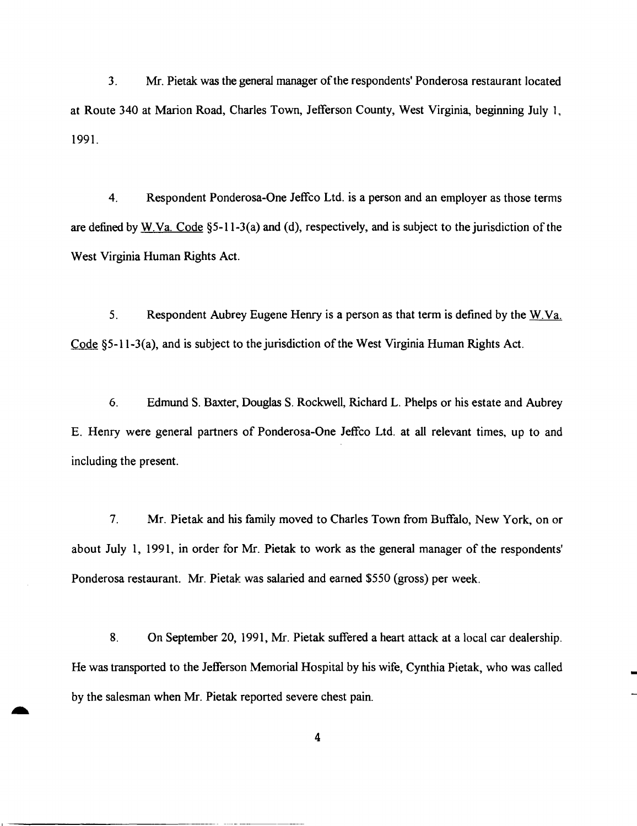3. Mr. Pietak was the general manager of the respondents' Ponderosa restaurant located at Route 340 at Marion Road, Charles Town, Jefferson County, West Virginia, beginning July 1, 1991.

4. Respondent Ponderosa-One Jeffco Ltd. is a person and an employer as those terms are defined by W.Va. Code §5-11-3(a) and (d), respectively, and is subject to the jurisdiction of the West Virginia Human Rights Act.

5. Respondent Aubrey Eugene Henry is a person as that term is defined by the W.Va. Code  $\S$ 5-11-3(a), and is subject to the jurisdiction of the West Virginia Human Rights Act.

6. Edmund S. Baxter, Douglas S. RockweIl, Richard L. Phelps or his estate and Aubrey E. Henry were general partners of Ponderosa-One Jeffco Ltd. at all relevant times, up to and including the present.

7. Mr. Pietak and his family moved to Charles Town from Buffalo, New York, on or about July 1, 1991, in order for Mr. Pietak to work as the general manager of the respondents' Ponderosa restaurant. Mr. Pietak was salaried and earned \$550 (gross) per week.

8. On September 20, 1991, Mr. Pietak suffered a heart attack at a local car dealership. He was transported to the Jefferson Memorial Hospital by his wife, Cynthia Pietak, who was called by the salesman when Mr. Pietak reported severe chest pain.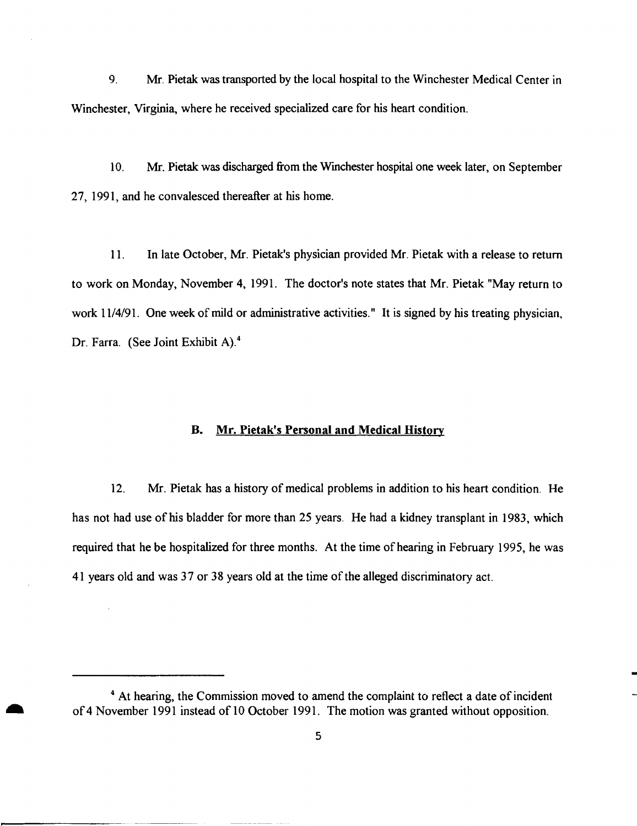9. Mr. Pietak was transported by the local hospital to the Winchester Medical Center in Winchester, Virginia, where he received specialized care for his heart condition.

10. Mr. Pietak was discharged from the Wmchester hospital one week later, on September 27, 1991, and he convalesced thereafter at his home.

11. In late October, Mr. Pietak's physician provided Mr. Pietak with a release to return to work on Monday, November 4, 1991. The doctor's note states that Mr. Pietak "May return to work 11/4/91. One week of mild or administrative activities." It is signed by his treating physician, Dr. Farra. (See Joint Exhibit A).<sup>4</sup>

# B. Mr. Pietak's Personal and Medical History

12. Mr. Pietak has a history of medical problems in addition to his heart condition. He has not had use of his bladder for more than 25 years. He had a kidney transplant in 1983, which required that he be hospitalized for three months. At the time of hearing in February 1995, he was 41 years old and was 37 or 38 years old at the time ofthe alleged discriminatory act.

<sup>&</sup>lt;sup>4</sup> At hearing, the Commission moved to amend the complaint to reflect a date of incident of 4 November 1991 instead of 10 October 1991. The motion was granted without opposition.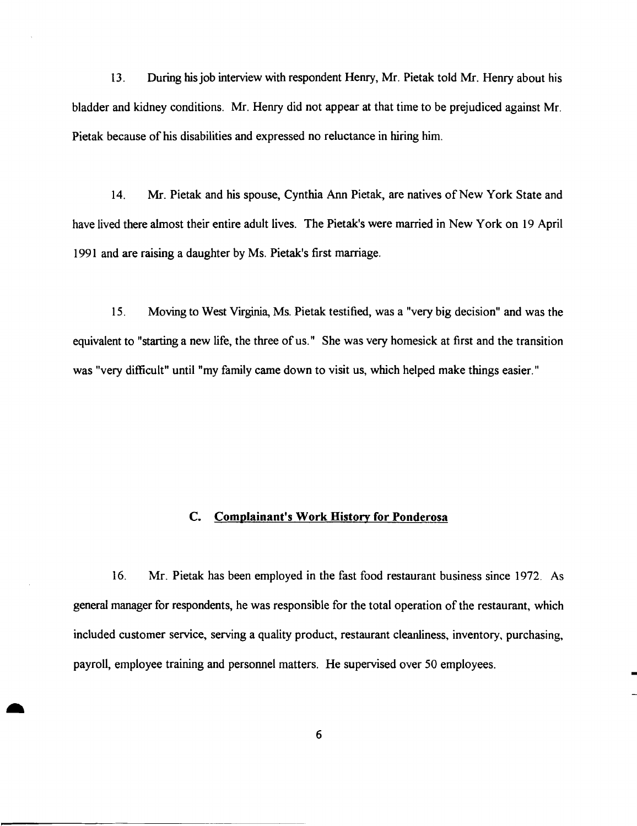13. During hisjob interview with respondent Henry, Mr. Pietak told Mr. Henry about his bladder and kidney conditions. Mr. Henry did not appear at that time to be prejudiced against Mr. Pietak because of his disabilities and expressed no reluctance in hiring him.

14. Mr. Pietak and his spouse, Cynthia Ann Pietak, are natives of New York State and have lived there almost their entire adult lives. The Pietak's were married in New York on 19 April 1991 and are raising a daughter by Ms. Pietak's first marriage.

15. Moving to West Virginia, Ms. Pietak testified, was a "very big decision" and was the equivalent to "starting a new life, the three of us. " She was very homesick at first and the transition was "very difficult" until "my family came down to visit us, which helped make things easier."

# **c. Complainant's Work History for Ponderosa**

16. Mr. Pietak has been employed in the fast food restaurant business since 1972. As general manager for respondents, he was responsible for the total operation of the restaurant, which included customer service, serving a quality product, restaurant cleanliness, inventory, purchasing, payroll, employee training and personnel matters. He supervised over 50 employees.

6

-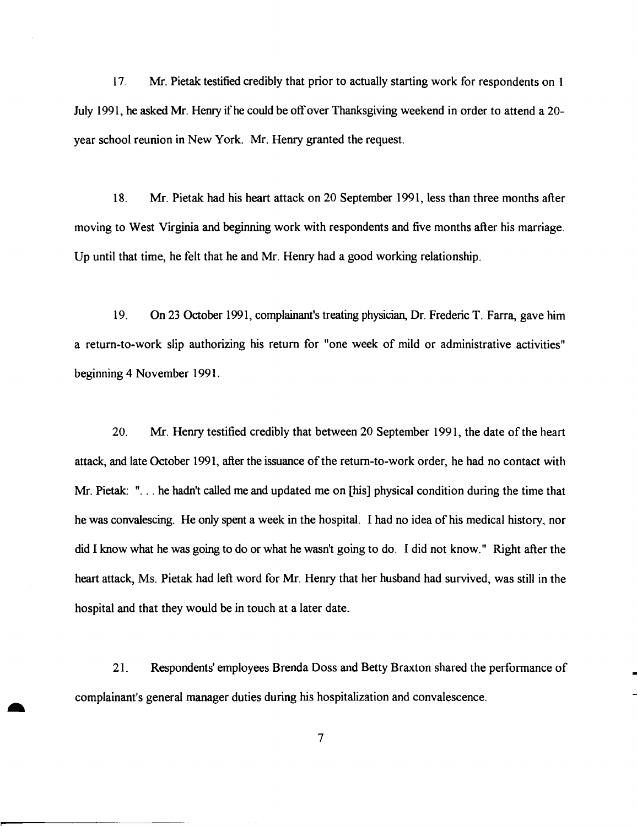17. Mr. Pietak testified credibly that prior to actually starting work for respondents on 1 July 1991, he asked Mr. Henry if he could be offover Thanksgiving weekend in order to attend a 20 year school reunion in New York. Mr. Henry granted the request.

18. Mr. Pietak had his heart attack on 20 September 1991, less than three months after moving to West Virginia and beginning work with respondents and five months after his marriage. Up until that time, he felt that he and Mr. Henry had a good working relationship.

19. On 23 October 1991, complainant's treating physician, Dr. Frederic T. Farra, gave him a retum-to-work slip authorizing his return for "one week of mild or administrative activities" beginning 4 November 1991.

20. Mr. Henry testified credibly that between 20 September 1991, the date of the heart attack, and late October 1991, after the issuance of the return-to-work order, he had no contact with Mr. Pietak: "... he hadn't called me and updated me on [his] physical condition during the time that he was convalescing. He only spent a week in the hospital. I had no idea of his medical history, nor did I know what he was going to do or what he wasn't going to do. I did not know." Right after the heart attack, Ms. Pietak had left word for Mr. Henry that her husband had survived, was still in the hospital and that they would be in touch at a later date.

21. Respondents' employees Brenda Doss and Betty Braxton shared the performance of complainant's general manager duties during his hospitalization and convalescence.

-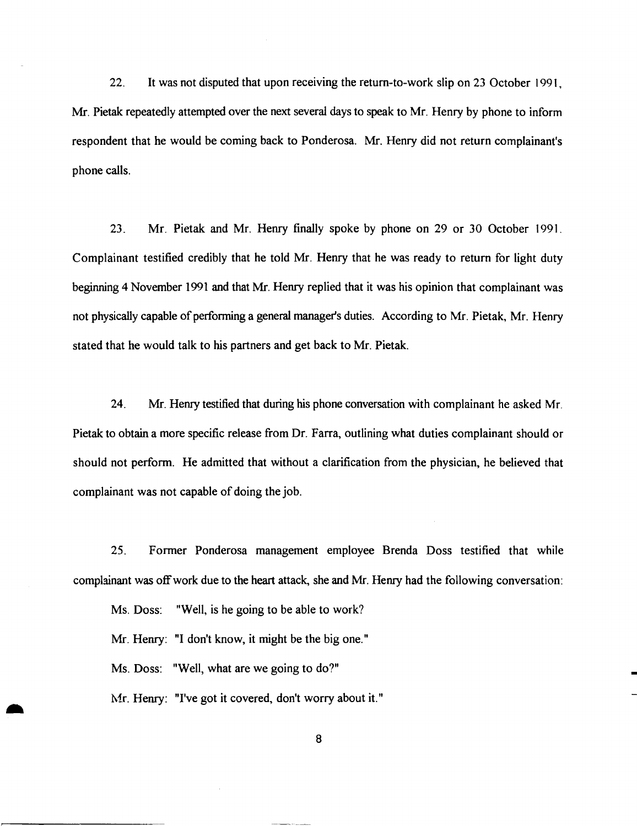22. It was not disputed that upon receiving the retum-to-work slip on 23 October 1991, Mr. Pietak repeatedly attempted over the next several days to speak to Mr. Henry by phone to inform respondent that he would be coming back to Ponderosa. Mr. Henry did not return complainant's phone calls.

23. Mr. Pietak and Mr. Henry finally spoke by phone on 29 or 30 October 1991. Complainant testified credibly that he told Mr. Henry that he was ready to return for light duty beginning 4 November 1991 and that Mr. Henry replied that it was his opinion that complainant was not physically capable of performing a general manager's duties. According to Mr. Pietak, Mr. Henry stated that he would talk to his partners and get back to Mr. Pietak.

24. Mr. Henry testified that during his phone conversation with complainant he asked Mr. Pietak to obtain a more specific release from Dr. Farra, outlining what duties complainant should or should not perform. He admitted that without a clarification from the physician, he believed that complainant was not capable of doing the job.

25. Former Ponderosa management employee Brenda Doss testified that while complainant was off work due to the heart attack, she and Mr. Henry had the following conversation:

Ms. Doss: "Well, is he going to be able to work?

Mr. Henry: "I don't know, it might be the big one."

Ms. Doss: "Well, what are we going to do?"

-

Mr. Henry: "I've got it covered, don't worry about it."

B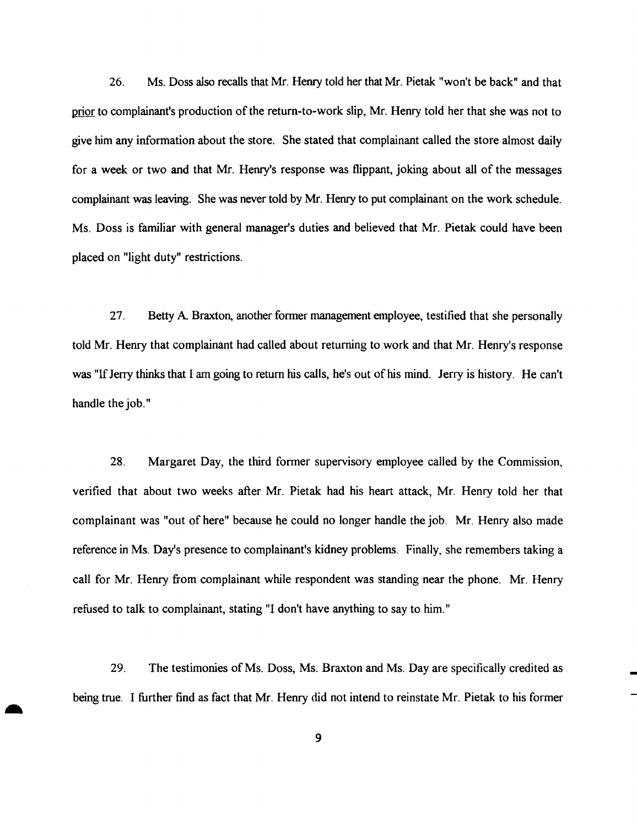26. Ms. Doss also recalls that Mr. Henry told her that Mr. Pietak "won't be back" and that prior to complainant's production of the return-to-work slip, Mr. Henry told her that she was not to give him any information about the store. She stated that complainant called the store almost daily for a week or two and that Mr. Henry's response was flippant, joking about all of the messages complainant was leaving. She was never told by Mr. Henry to put complainant on the work schedule. Ms. Doss is familiar with general manager's duties and believed that Mr. Pietak could have been placed on "light duty" restrictions.

27. Betty A Braxton, another former management employee, testified that she personally told Mr. Henry that complainant had called about returning to work and that Mr. Henry's response was "If Jerry thinks that I am going to return his calls, he's out of his mind. Jerry is history. He can't handle the job."

28. Margaret Day, the third former supervisory employee called by the Commission, verified that about two weeks after Mr. Pietak had his heart attack, Mr. Henry told her that complainant was "out of here" because he could no longer handle the job. Mr. Henry also made reference in Ms. Day's presence to complainant's kidney problems. Finally, she remembers taking a call for Mr. Henry from complainant while respondent was standing near the phone. Mr. Henry refused to talk to complainant, stating "I don't have anything to say to him."

29. The testimonies of Ms. Doss, Ms. Braxton and Ms. Day are specifically credited as being true. I further find as fact that Mr. Henry did not intend to reinstate Mr. Pietak to his former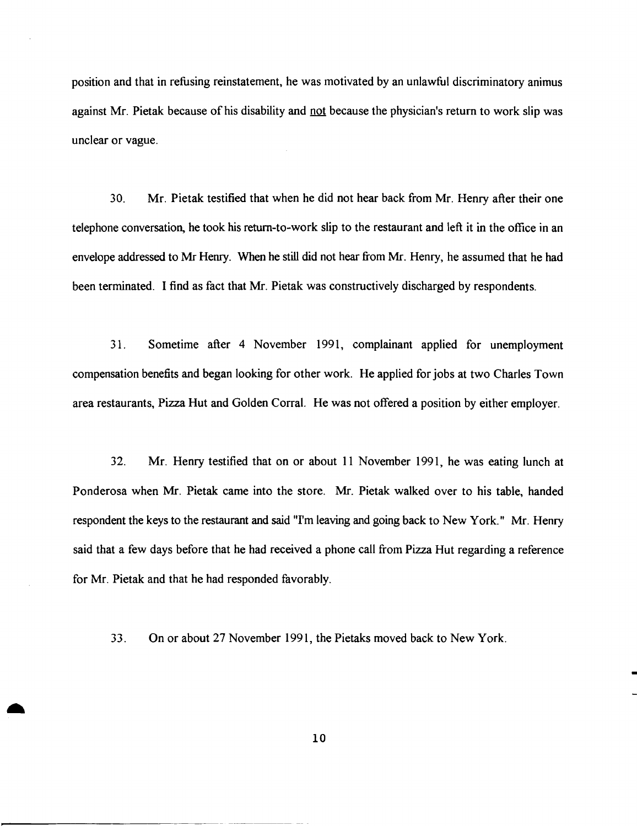position and that in refusing reinstatement, he was motivated by an unlawful discriminatory animus against Mr. Pietak because of his disability and not because the physician's return to work slip was unclear or vague.

30. Mr. Pietak testified that when he did not hear back from Mr. Henry after their one telephone conversation, he took his retum-to-work slip to the restaurant and left it in the office in an envelope addressed to Mr Henry. When he still did not hear from Mr. Henry, he assumed that he had been terminated. I find as fact that Mr. Pietak was constructively discharged by respondents.

31. Sometime after 4 November 1991, complainant applied for unemployment compensation benefits and began looking for other work. He applied for jobs at two Charles Town area restaurants, Pizza Hut and Golden Corral. He was not offered a position by either employer.

32. Mr. Henry testified that on or about 11 November 1991, he was eating lunch at Ponderosa when Mr. Pietak came into the store. Mr. Pietak walked over to his table, handed respondent the keys to the restaurant and said "I'm leaving and going back to New York." Mr. Henry said that a few days before that he had received a phone call from Pizza Hut regarding a reference for Mr. Pietak and that he had responded favorably.

33. On or about 27 November 1991, the Pietaks moved back to New York.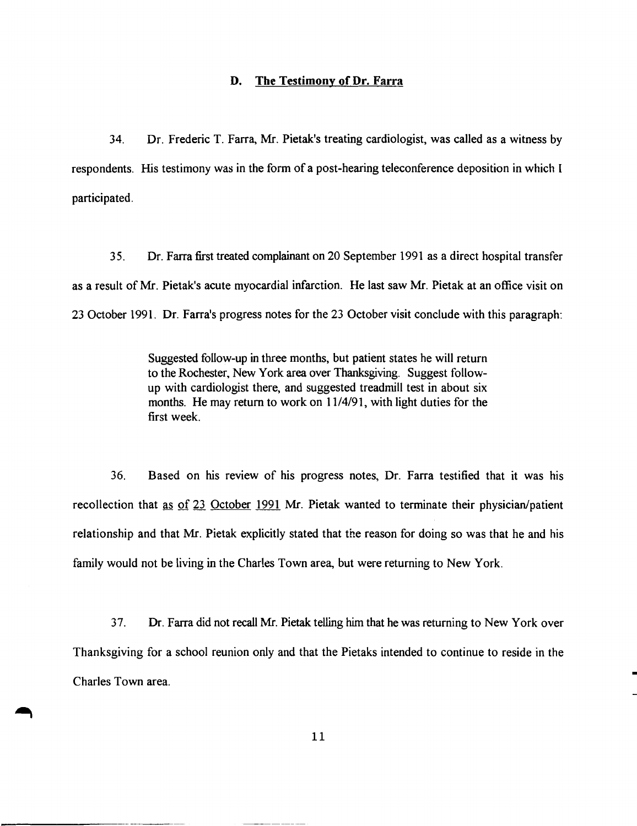### **D. The Testimony of Dr. Farra**

34. Dr. Frederic T. Farra, Mr. Pietak's treating cardiologist, was called as a witness by respondents. His testimony was in the form of a post-hearing teleconference deposition in which I participated.

35. Dr. Farra first treated complainant on 20 September 1991 as a direct hospital transfer as a result of Mr. Pietak's acute myocardial infarction. He last saw Mr. Pietak at an office visit on 23 October 1991. Dr. Farra's progress notes for the 23 October visit conclude with this paragraph:

> Suggested follow-up in three months, but patient states he will return to the Rochester, New York area over Thanksgiving. Suggest followup with cardiologist there, and suggested treadmill test in about six months. He may return to work on 11/4/91, with light duties for the first week.

36. Based on his review of his progress notes, Dr. Farra testified that it was his recollection that as of 23 October 1991 Mr. Pietak wanted to terminate their physician/patient relationship and that Mr. Pietak explicitly stated that the reason for doing so was that he and his family would not be living in the Charles Town area, but were returning to New York.

37. Dr. Farra did not recall Mr. Pietak. telling him that he was returning to New York over Thanksgiving for a school reunion only and that the Pietaks intended to continue to reside in the Charles Town area.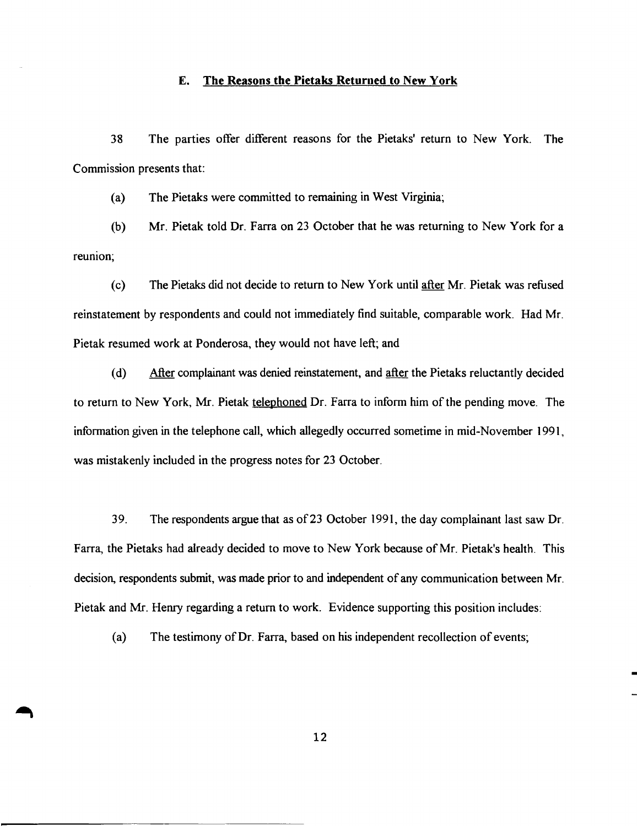### E. The Reasons the Pietaks Returned to New York

38 The parties offer different reasons for the Pietaks' return to New York. The Commission presents that:

(a) The Pietaks were committed to remaining in West Virginia;

(b) Mr. Pietak told Dr. Farra on 23 October that he was returning to New York for a reunion;

(c) The Pietaks did not decide to return to New York until after Mr. Pietak was refused reinstatement by respondents and could not immediately find suitable, comparable work. Had Mr. Pietak resumed work at Ponderosa, they would not have left; and

(d) After complainant was denied reinstatement, and after the Pietaks reluctantly decided to return to New York, Mr. Pietak telephoned Dr. Farra to inform him ofthe pending move. The information given in the telephone call, which allegedly occurred sometime in mid-November 1991, was mistakenly included in the progress notes for 23 October.

39. The respondents argue that as of23 October 1991, the day complainant last saw Dr. Farra, the Pietaks had already decided to move to New York because of Mr. Pietak's health. This decision, respondents submit, was made prior to and independent of any communication between Mr. Pietak and Mr. Henry regarding a return to work. Evidence supporting this position includes:

(a) The testimony of Dr. Farra, based on his independent recollection of events;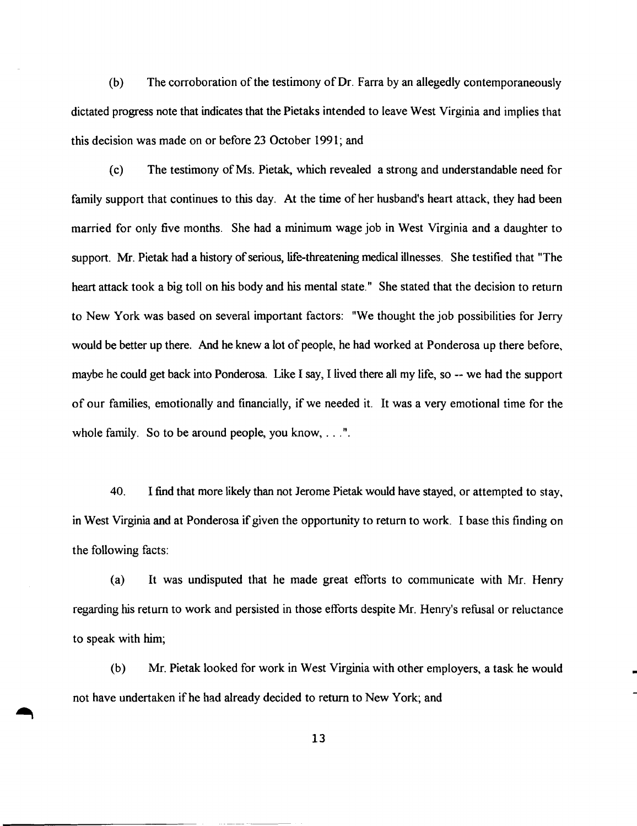$(b)$  The corroboration of the testimony of Dr. Farra by an allegedly contemporaneously dictated progress note that indicates that the Pietaks intended to leave West Virginia and implies that this decision was made on or before 23 October 1991; and

(c) The testimony ofMs. Pietak, which revealed a strong and understandable need for family support that continues to this day. At the time of her husband's heart attack, they had been married for only five months. She had a minimum wage job in West Virginia and a daughter to support. Mr. Pietak had a history of serious, life-threatening medical illnesses. She testified that "The heart attack took a big toll on his body and his mental state." She stated that the decision to return to New York was based on several important factors: "We thought the job possibilities for Jerry would be better up there. And he knew a lot of people, he had worked at Ponderosa up there before, maybe he could get back into Ponderosa. Like I say, I lived there all my life, so -- we had the support of our families, emotionally and financially, if we needed it. It was a very emotional time for the whole family. So to be around people, you know, . . .".

40. I find that more likely than not Jerome Pietak would have stayed, or attempted to stay, in West Virginia and at Ponderosa if given the opportunity to return to work. I base this finding on the following facts:

(a) It was undisputed that he made great efforts to communicate with Mr. Henry regarding his return to work and persisted in those efforts despite Mr. Henry's refusal or reluctance to speak with him;

(b) Mr. Pietak looked for work in West Virginia with other employers, a task he would not have undertaken if he had already decided to return to New York; and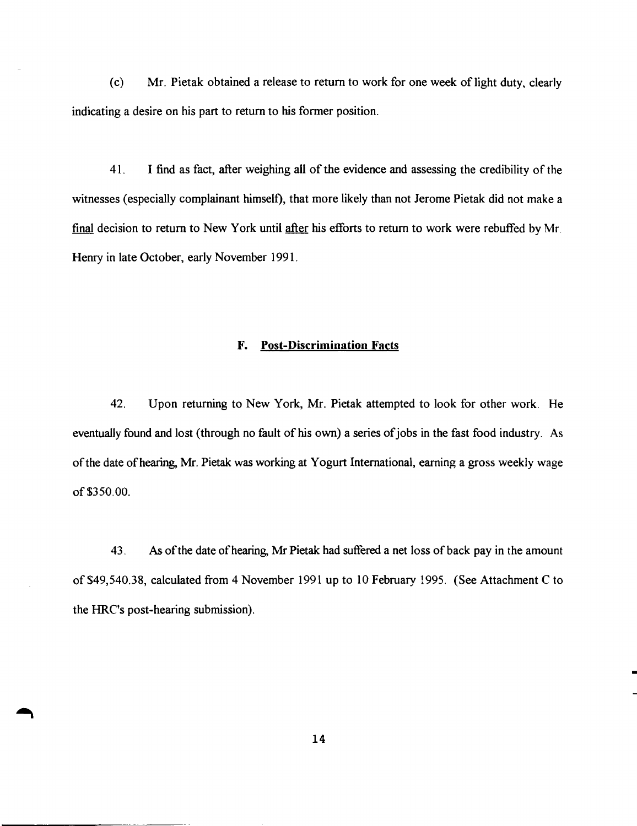(c) Mr. Pietak obtained a release to return to work for one week of light duty, clearly indicating a desire on his part to return to his former position.

41. I find as fact, after weighing all of the evidence and assessing the credibility of the witnesses (especially complainant himself), that more likely than not Jerome Pietak did not make a final decision to return to New York until after his efforts to return to work were rebuffed by Mr. Henry in late October, early November 1991.

### F. Post-Discrimination Facts

42. Upon returning to New York, Mr. Pietak attempted to look for other work. He eventually found and lost (through no fault of his own) a series of jobs in the fast food industry. As ofthe date ofhearing, Mr. Pietak was working at Yogurt International, earning a gross weekly wage of\$350.00.

43. As ofthe date ofhearing, Mr Pietak had suffered a net loss of back pay in the amount of\$49,540.38, calculated from 4 November 1991 up to 10 February 1995. (See Attachment C to the HRC's post-hearing submission).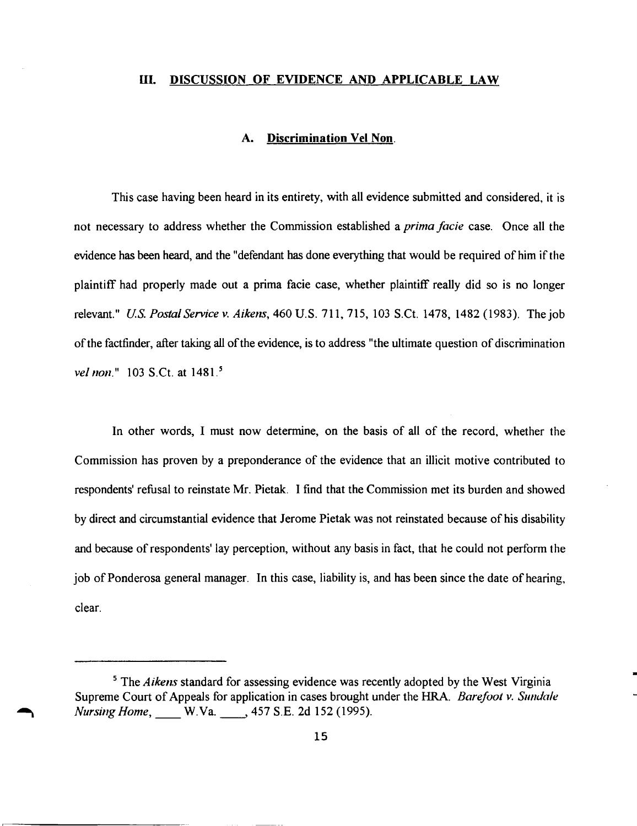#### UI. DISCUSSION OF EVIDENCE AND APPLICABLE LAW

# A. Discrimination Vel Non.

This case having been heard in its entirety, with all evidence submitted and considered, it is not necessary to address whether the Commission established a *prima facie* case. Once all the evidence has been heard, and the "defendant has done everything that would be required of him if the plaintiff had properly made out a prima facie case, whether plaintiff really did so is no longer relevant." *U.S. Postal Service v. Aikens,* 460 U.S. 711, 715, 103 S.Ct. 1478, 1482 (1983). The job of the factfinder, after taking all of the evidence, is to address "the ultimate question of discrimination *vel non.*" 103 S.Ct. at 1481.<sup>5</sup>

In other words, I must now determine, on the basis of all of the record, whether the Commission has proven by a preponderance of the evidence that an illicit motive contributed to respondents' refusal to reinstate Mr. Pietak. I find that the Commission met its burden and showed by direct and circumstantial evidence that Jerome Pietak was not reinstated because of his disability and because of respondents' lay perception, without any basis in fact, that he could not perform the job of Ponderosa general manager. In this case, liability is, and has been since the date of hearing, clear.

<sup>&</sup>lt;sup>5</sup> The *Aikens* standard for assessing evidence was recently adopted by the West Virginia Supreme Court of Appeals for application in cases brought under the HRA. *Barefoot v. Sundale Nursing Home*, W.Va. \_\_\_, 457 S.E. 2d 152 (1995).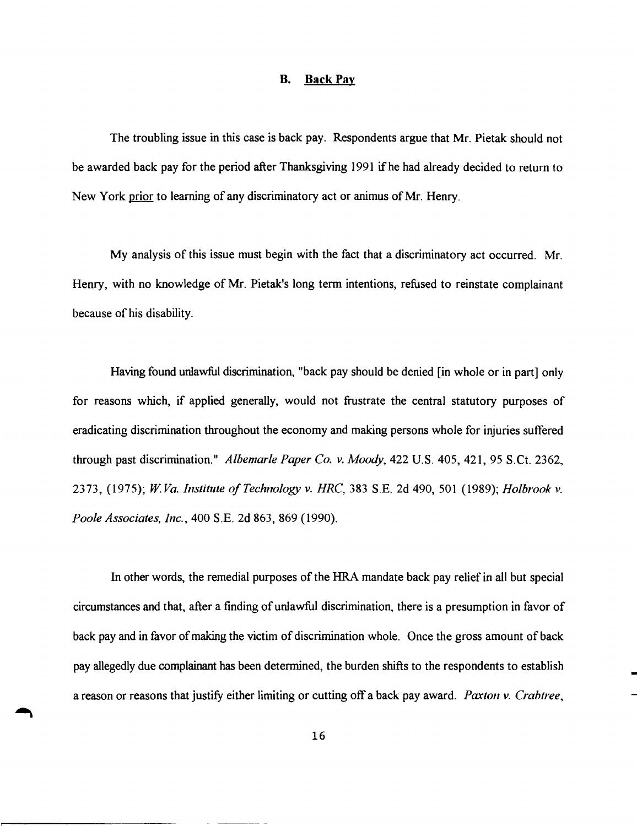#### **B. Back Pay**

The troubling issue in this case is back pay. Respondents argue that Mr. Pietak should not be awarded back pay for the period after Thanksgiving 1991 if he had already decided to return to New York prior to learning of any discriminatory act or animus of Mr. Henry.

My analysis of this issue must begin with the fact that a discriminatory act occurred. Mr. Henry, with no knowledge of Mr. Pietak's long term intentions, refused to reinstate complainant because of his disability.

Having found unlawful discrimination, "back pay should be denied [in whole or in part] only for reasons which, if applied generally, would not frustrate the central statutory purposes of eradicating discrimination throughout the economy and making persons whole for injuries suffered through past discrimination." *Albemarle Paper Co.* v. *Moody,* 422 U.S. 405, 421, 95 S.Ct. 2362, 2373, (1975); *W.Va. Institute of Technology v. HRC*, 383 S.E. 2d 490, 501 (1989); *Holbrook v. Poole Associates, IIlC.,* 400 S.E. 2d 863, 869 (1990).

In other words, the remedial purposes of the HRA mandate back pay relief in all but special circumstances and that, after a finding of unlawful discrimination, there is a presumption in favor of back pay and in favor of making the victim of discrimination whole. Once the gross amount of back pay allegedly due complainant has been determined, the burden shifts to the respondents to establish a reason or reasons that justify either limiting or cutting off a back pay award. *Paxton v. Crahtree*,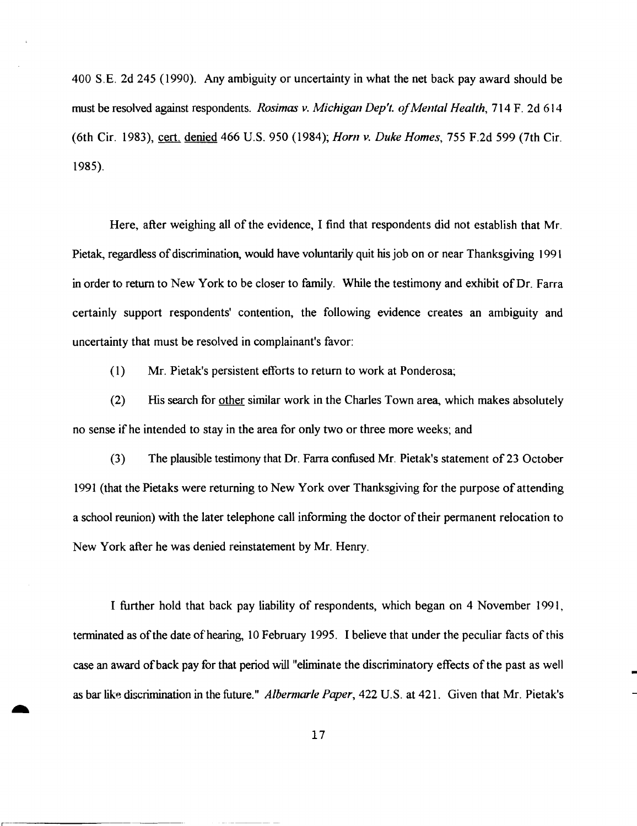400 S.E. 2d 245 (1990). Any ambiguity or uncertainty in what the net back pay award should be must be resolved against respondents. *Rosimas v. Michigan Dep't. ofMental Health,* 714 F. 2d 614 (6th Cir. 1983), cert. denied 466 U.S. 950 (1984); *Hom v. Duke Homes,* 755 F.2d 599 (7th Cir. 1985).

Here, after weighing all of the evidence, I find that respondents did not establish that Mr. Pietak, regardless of discrimination, would have voluntarily quit his job on or near Thanksgiving 1991 in order to return to New York to be closer to family. While the testimony and exhibit of Dr. Farra certainly support respondents' contention, the following evidence creates an ambiguity and uncertainty that must be resolved in complainant's favor:

(1) Mr. Pietak's persistent efforts to return to work at Ponderosa;

(2) His search for other similar work in the Charles Town area, which makes absolutely no sense if he intended to stay in the area for only two or three more weeks; and

(3) The plausible testimony that Dr. Farra confused Mr. Pietak's statement of23 October 1991 (that the Pietaks were returning to New York over Thanksgiving for the purpose of attending a school reunion) with the later telephone call informing the doctor of their permanent relocation to New York after he was denied reinstatement by Mr. Henry.

I further hold that back pay liability of respondents, which began on 4 November 1991, terminated as of the date of hearing, 10 February 1995. I believe that under the peculiar facts of this case an award of back pay for that period will "eliminate the discriminatory effects of the past as well as bar like discrimination in the future." *A/bermarle Paper,* 422 U.S. at 421. Given that Mr. Pietak's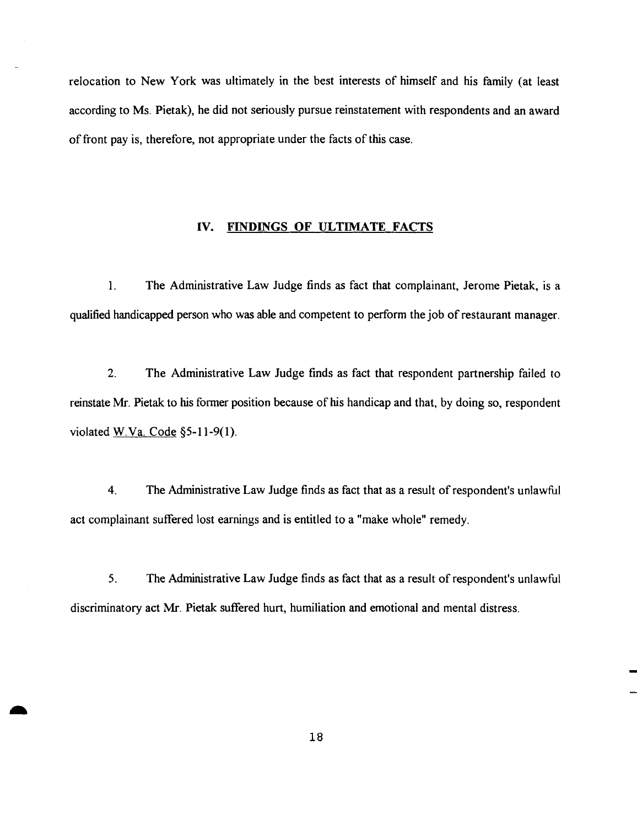relocation to New York was ultimately in the best interests of himself and his family (at least according to Ms. Pietak), he did not seriously pursue reinstatement with respondents and an award of front pay is, therefore, not appropriate under the facts of this case.

### IV. FINDINGS **OF** ULTIMATE FACTS

1. The Administrative Law Judge finds as fact that complainant, Jerome Pietak, is a qualified handicapped person who was able and competent to perform the job ofrestaurant manager.

2. The Administrative Law Judge fmds as fact that respondent partnership failed to reinstate Mr. Pietak to his former position because of his handicap and that, by doing so, respondent violated W.Va. Code  $\S$ 5-11-9(1).

4. The Administrative Law Judge finds as fact that as a result ofrespondent's unlawful act complainant suffered lost earnings and is entitled to a "make whole" remedy.

5. The Administrative Law Judge finds as fact that as a result of respondent's unlawful discriminatory act Mr. Pietak suffered hurt, humiliation and emotional and mental distress.

-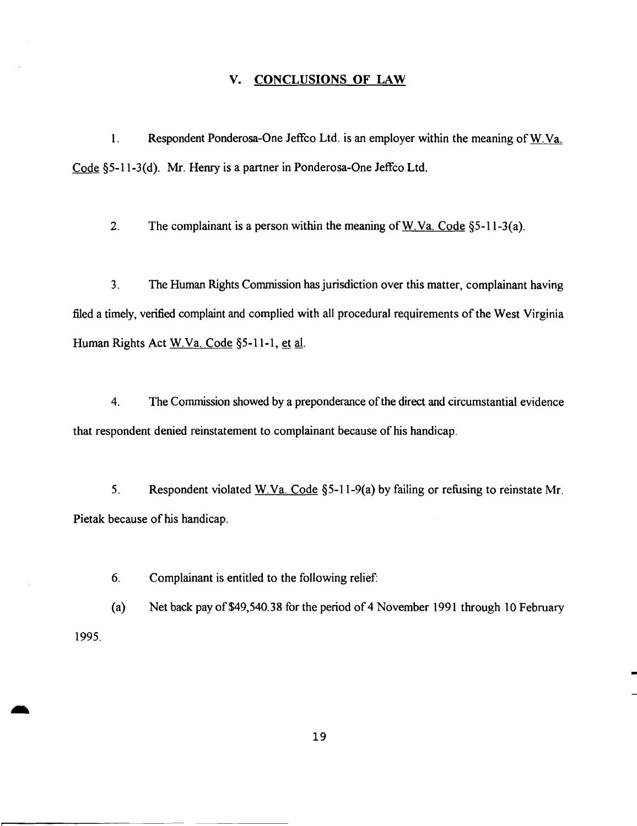### v. CONCLUSIONS OF LAW

1. Respondent Ponderosa-One Jeffco Ltd. is an employer within the meaning ofW.Va. Code §5-11-3(d). Mr. Henry is a partner in Ponderosa-One Jeffco Ltd.

2. The complainant is a person within the meaning of W.Va. Code  $\S$ 5-11-3(a).

3. The Human Rights Commission hasjurisdiction over this matter, complainant having filed a timely, verified complaint and complied with all procedural requirements of the West Virginia Human Rights Act W.Va. Code §5-11-1, et al.

4. The Commission showed by a preponderance of the direct and circumstantial evidence that respondent denied reinstatement to complainant because of his handicap.

5. Respondent violated W.Va. Code §5-11-9(a) by failing or refusing to reinstate Mr. Pietak because of his handicap.

6. Complainant is entitled to the following relief:

(a) Net back pay of\$49,540.38 for the period of4 November 1991 through 10 February 1995.